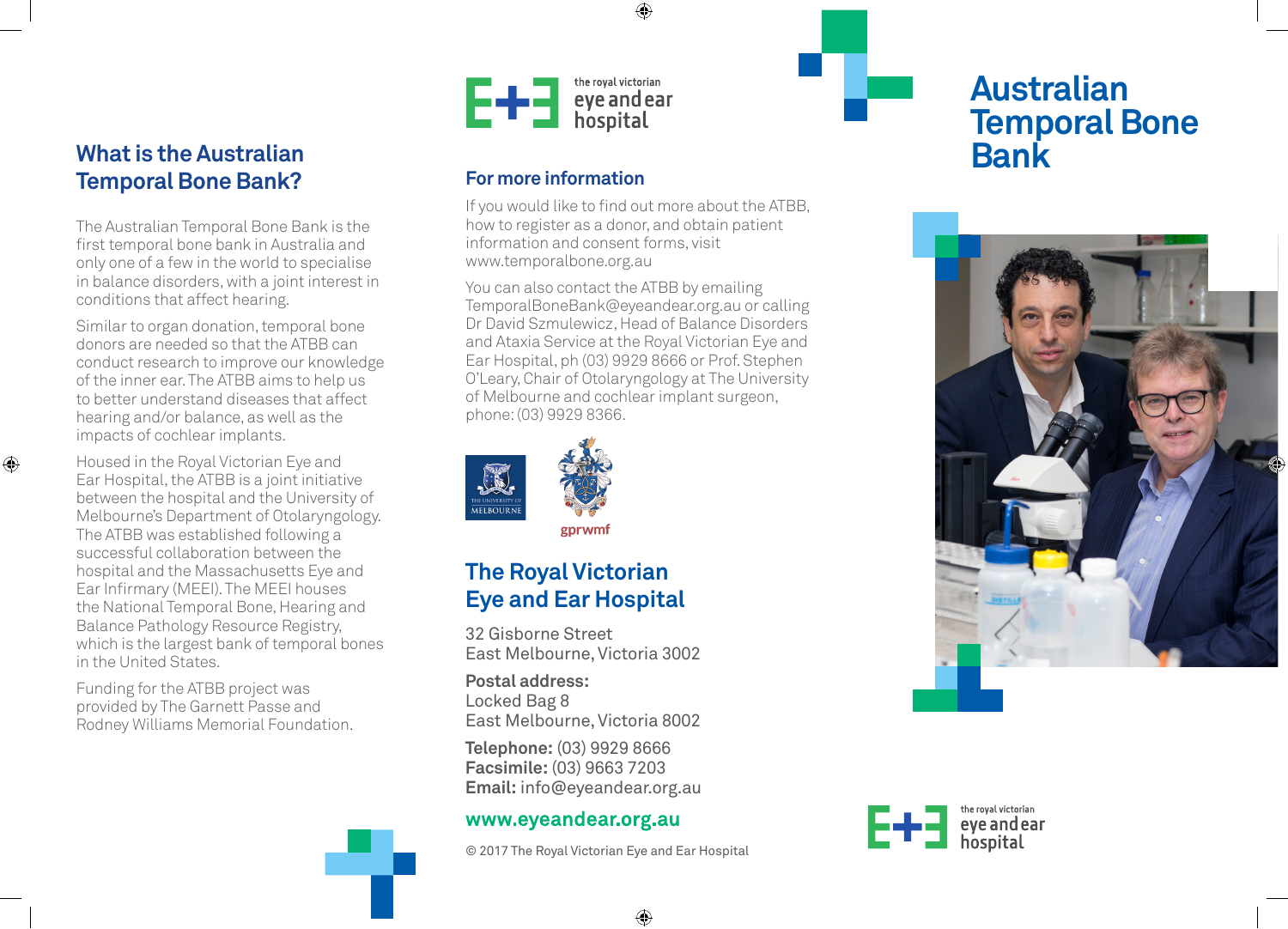## **What is the Australian Temporal Bone Bank?**

The Australian Temporal Bone Bank is the first temporal bone bank in Australia and only one of a few in the world to specialise in balance disorders, with a joint interest in conditions that affect hearing.

Similar to organ donation, temporal bone donors are needed so that the ATBB can conduct research to improve our knowledge of the inner ear. The ATBB aims to help us to better understand diseases that affect hearing and/or balance, as well as the impacts of cochlear implants.

 $\bigoplus$ 

Housed in the Royal Victorian Eye and Ear Hospital, the ATBB is a joint initiative between the hospital and the University of Melbourne's Department of Otolaryngology. The ATBB was established following a successful collaboration between the hospital and the Massachusetts Eye and Ear Infirmary (MEEI). The MEEI houses the National Temporal Bone, Hearing and Balance Pathology Resource Registry, which is the largest bank of temporal bones in the United States.

Funding for the ATBB project was provided by The Garnett Passe and Rodney Williams Memorial Foundation.



## **For more information**

If you would like to find out more about the ATBB, how to register as a donor, and obtain patient information and consent forms, visit www.temporalbone.org.au

♠

You can also contact the ATBB by emailing TemporalBoneBank@eyeandear.org.au or calling Dr David Szmulewicz, Head of Balance Disorders and Ataxia Service at the Royal Victorian Eye and Ear Hospital, ph (03) 9929 8666 or Prof. Stephen O'Leary, Chair of Otolaryngology at The University of Melbourne and cochlear implant surgeon, phone: (03) 9929 8366.



# **The Royal Victorian Eye and Ear Hospital**

32 Gisborne Street East Melbourne, Victoria 3002

**Postal address:** Locked Bag 8 East Melbourne, Victoria 8002

**Telephone:** (03) 9929 8666 **Facsimile:** (03) 9663 7203 **Email:** info@eyeandear.org.au

## www.eyeandear.org.au

© 2017 The Royal Victorian Eye and Ear Hospital

⊕

# **Australian Temporal Bone**